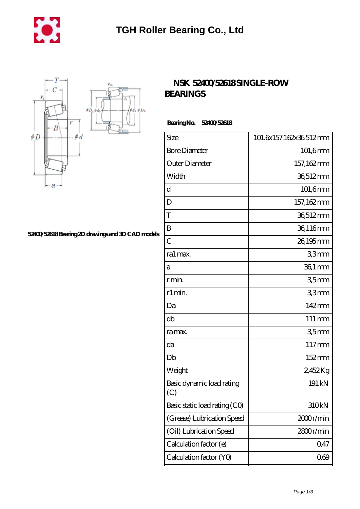



## **[52400/52618 Bearing 2D drawings and 3D CAD models](https://m.mywebsitenews.com/pic-13447.html)**

## **[NSK 52400/52618 SINGLE-ROW](https://m.mywebsitenews.com/bs-13447-nsk-52400-52618-single-row-bearings.html) [BEARINGS](https://m.mywebsitenews.com/bs-13447-nsk-52400-52618-single-row-bearings.html)**

 **Bearing No. 52400/52618**

| Size                             | 101.6x157.162x36.512mm |
|----------------------------------|------------------------|
| <b>Bore Diameter</b>             | $101,6$ mm             |
| Outer Diameter                   | 157,162mm              |
| Width                            | 36,512mm               |
| d                                | 101,6mm                |
| D                                | 157,162mm              |
| T                                | 36,512mm               |
| B                                | 36,116mm               |
| $\overline{C}$                   | 26,195mm               |
| ra1 max.                         | 33mm                   |
| a                                | 36,1 mm                |
| r min.                           | 35 <sub>mm</sub>       |
| r1 min.                          | 33mm                   |
| Da                               | 142mm                  |
| db                               | 111 mm                 |
| ra max.                          | 35 <sub>mm</sub>       |
| da                               | 117mm                  |
| Db                               | 152mm                  |
| Weight                           | 2,452Kg                |
| Basic dynamic load rating<br>(C) | 191 kN                 |
| Basic static load rating (CO)    | 310kN                  |
| (Grease) Lubrication Speed       | 2000r/min              |
| (Oil) Lubrication Speed          | 2800r/min              |
| Calculation factor (e)           | 0,47                   |
| Calculation factor (YO)          | $0\omega$              |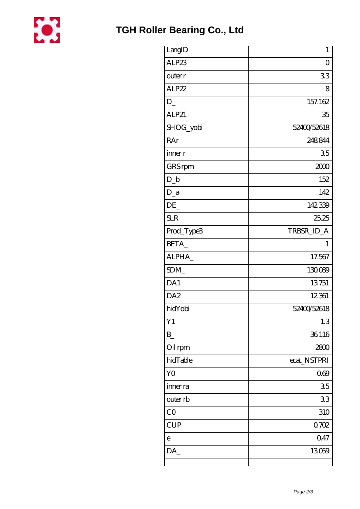

| LangID          | $\mathbf{1}$ |
|-----------------|--------------|
| ALP23           | 0            |
| outer r         | 33           |
| ALP22           | 8            |
| $D_{-}$         | 157.162      |
| ALP21           | 35           |
| SHOG_yobi       | 52400/52618  |
| RAr             | 248844       |
| inner r         | 35           |
| GRS rpm         | 2000         |
| $D_{-}b$        | 152          |
| $D_a$           | 142          |
| DE              | 142339       |
| <b>SLR</b>      | 25.25        |
| Prod_Type3      | TRBSR_ID_A   |
| BETA_           | T            |
| ALPHA_          | 17.567       |
| SDM             | 130089       |
| DA1             | 13751        |
| DA <sub>2</sub> | 12361        |
| hidYobi         | 52400/52618  |
| Y1              | 1.3          |
| $B_{-}$         | 36116        |
| Oil rpm         | 2800         |
| hidTable        | ecat_NSTPRI  |
| Y <sub>O</sub>  | 069          |
| inner ra        | 35           |
| outer rb        | 33           |
| CO              | 310          |
| <b>CUP</b>      | 0.702        |
| $\mathbf e$     | 0.47         |
| DA              | 13059        |
|                 |              |